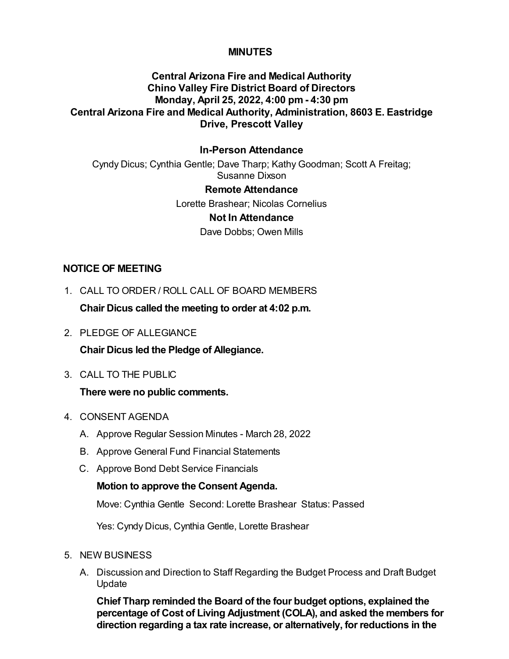# **MINUTES**

# **Central Arizona Fire and Medical Authority Chino Valley Fire District Board of Directors Monday, April 25, 2022, 4:00 pm - 4:30 pm Central Arizona Fire and Medical Authority, Administration, 8603 E. Eastridge Drive, Prescott Valley**

## **In-Person Attendance**

Cyndy Dicus; Cynthia Gentle; Dave Tharp; Kathy Goodman; Scott A Freitag; Susanne Dixson

### **Remote Attendance**

Lorette Brashear; Nicolas Cornelius

#### **Not In Attendance**

Dave Dobbs; Owen Mills

### **NOTICE OF MEETING**

1. CALL TO ORDER / ROLL CALL OF BOARD MEMBERS

**Chair Dicus called the meeting to order at 4:02 p.m.**

2. PLEDGE OF ALLEGIANCE

**Chair Dicus led the Pledge of Allegiance.**

3. CALL TO THE PUBLIC

### **There were no public comments.**

- 4. CONSENT AGENDA
	- A. Approve Regular Session Minutes March 28, 2022
	- B. Approve General Fund Financial Statements
	- C. Approve Bond Debt Service Financials

### **Motion to approve the Consent Agenda.**

Move: Cynthia Gentle Second: Lorette Brashear Status: Passed

Yes: Cyndy Dicus, Cynthia Gentle, Lorette Brashear

#### 5. NEW BUSINESS

A. Discussion and Direction to Staff Regarding the Budget Process and Draft Budget Update

**Chief Tharp reminded the Board of the four budget options, explained the percentage of Cost of Living Adjustment (COLA), and asked the members for direction regarding a tax rate increase, or alternatively, for reductions in the**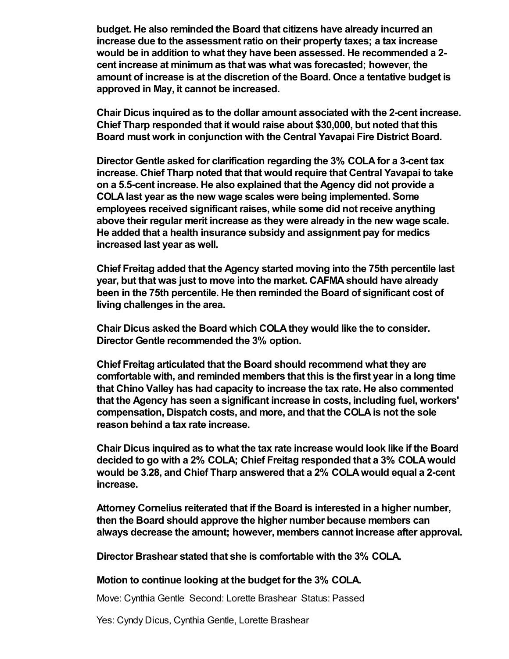**budget. He also reminded the Board that citizens have already incurred an increase due to the assessment ratio on their property taxes; a tax increase would be in addition to what they have been assessed. He recommended a 2 cent increase at minimum as that was what was forecasted; however, the amount of increase is at the discretion of the Board. Once a tentative budget is approved in May, it cannot be increased.** 

**Chair Dicus inquired as to the dollar amount associated with the 2-cent increase. Chief Tharp responded that it would raise about \$30,000, but noted that this Board must work in conjunction with the Central Yavapai Fire District Board.**

**Director Gentle asked for clarification regarding the 3% COLA for a 3-cent tax increase. Chief Tharp noted that that would require that Central Yavapai to take on a 5.5-cent increase. He also explained that the Agency did not provide a COLA last year as the new wage scales were being implemented. Some employees received significant raises, while some did not receive anything above their regular merit increase as they were already in the new wage scale. He added that a health insurance subsidy and assignment pay for medics increased last year as well.** 

**Chief Freitag added that the Agency started moving into the 75th percentile last year, but that was just to move into the market. CAFMA should have already been in the 75th percentile. He then reminded the Board of significant cost of living challenges in the area.** 

**Chair Dicus asked the Board which COLA they would like the to consider. Director Gentle recommended the 3% option.** 

**Chief Freitag articulated that the Board should recommend what they are comfortable with, and reminded members that this is the first year in a long time that Chino Valley has had capacity to increase the tax rate. He also commented that the Agency has seen a significant increase in costs, including fuel, workers' compensation, Dispatch costs, and more, and that the COLA is not the sole reason behind a tax rate increase.**

**Chair Dicus inquired as to what the tax rate increase would look like if the Board decided to go with a 2% COLA; Chief Freitag responded that a 3% COLA would would be 3.28, and Chief Tharp answered that a 2% COLA would equal a 2-cent increase.**

**Attorney Cornelius reiterated that if the Board is interested in a higher number, then the Board should approve the higher number because members can always decrease the amount; however, members cannot increase after approval.**

**Director Brashear stated that she is comfortable with the 3% COLA.**

### **Motion to continue looking at the budget for the 3% COLA.**

Move: Cynthia Gentle Second: Lorette Brashear Status: Passed

Yes: Cyndy Dicus, Cynthia Gentle, Lorette Brashear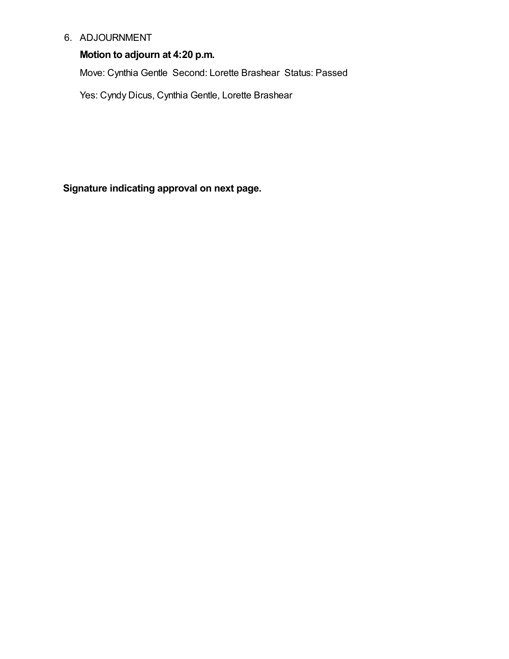## 6. ADJOURNMENT

# **Motion to adjourn at 4:20 p.m.**

Move: Cynthia Gentle Second: Lorette Brashear Status: Passed

Yes: Cyndy Dicus, Cynthia Gentle, Lorette Brashear

**Signature indicating approval on next page.**